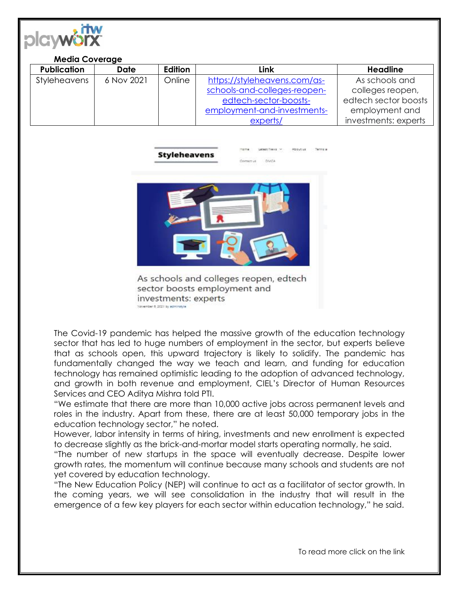

| <b>Media Coverage</b> |             |                |                              |                      |
|-----------------------|-------------|----------------|------------------------------|----------------------|
| <b>Publication</b>    | <b>Date</b> | <b>Edition</b> | Link                         | <b>Headline</b>      |
| Styleheavens          | 6 Nov 2021  | Online         | https://styleheavens.com/as- | As schools and       |
|                       |             |                | schools-and-colleges-reopen- | colleges reopen,     |
|                       |             |                | edtech-sector-boosts-        | edtech sector boosts |
|                       |             |                | employment-and-investments-  | employment and       |
|                       |             |                | experts/                     | investments: experts |



As schools and colleges reopen, edtech sector boosts employment and investments: experts wember 6, 2021 by admi

The Covid-19 pandemic has helped the massive growth of the education technology sector that has led to huge numbers of employment in the sector, but experts believe that as schools open, this upward trajectory is likely to solidify. The pandemic has fundamentally changed the way we teach and learn, and funding for education technology has remained optimistic leading to the adoption of advanced technology, and growth in both revenue and employment, CIEL's Director of Human Resources Services and CEO Aditya Mishra told PTI.

"We estimate that there are more than 10,000 active jobs across permanent levels and roles in the industry. Apart from these, there are at least 50,000 temporary jobs in the education technology sector," he noted.

However, labor intensity in terms of hiring, investments and new enrollment is expected to decrease slightly as the brick-and-mortar model starts operating normally, he said.

"The number of new startups in the space will eventually decrease. Despite lower growth rates, the momentum will continue because many schools and students are not yet covered by education technology.

"The New Education Policy (NEP) will continue to act as a facilitator of sector growth. In the coming years, we will see consolidation in the industry that will result in the emergence of a few key players for each sector within education technology," he said.